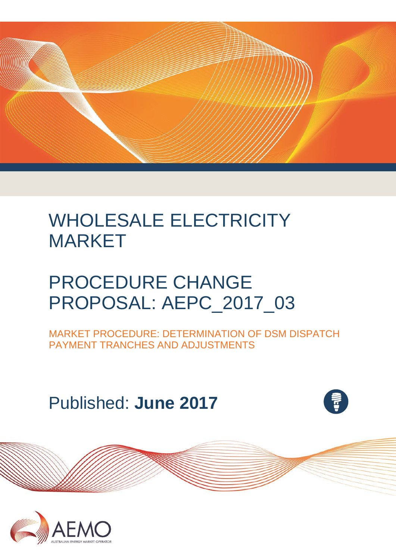

# WHOLESALE ELECTRICITY MARKET

# PROCEDURE CHANGE PROPOSAL: AEPC\_2017\_03

MARKET PROCEDURE: DETERMINATION OF DSM DISPATCH PAYMENT TRANCHES AND ADJUSTMENTS

Published: **June 2017**



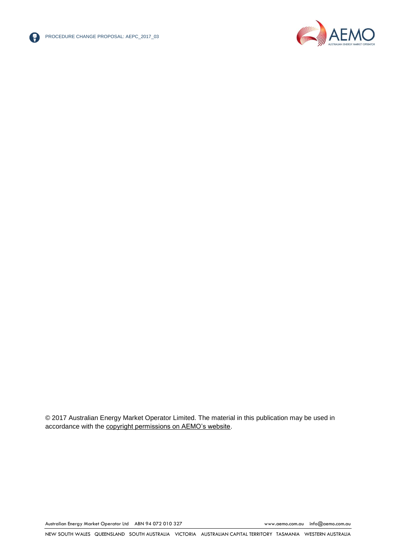



© 2017 Australian Energy Market Operator Limited. The material in this publication may be used in accordance with the [copyright permissions on AEMO's website.](http://aemo.com.au/Privacy_and_Legal_Notices/Copyright_Permissions_Notice)

Australian Energy Market Operator Ltd ABN 94 072 010 327 [www.aemo.com.au](http://www.aemo.com.au/) [info@aemo.com.au](mailto:info@aemo.com.au)

NEW SOUTH WALES QUEENSLAND SOUTH AUSTRALIA VICTORIA AUSTRALIAN CAPITAL TERRITORY TASMANIA WESTERN AUSTRALIA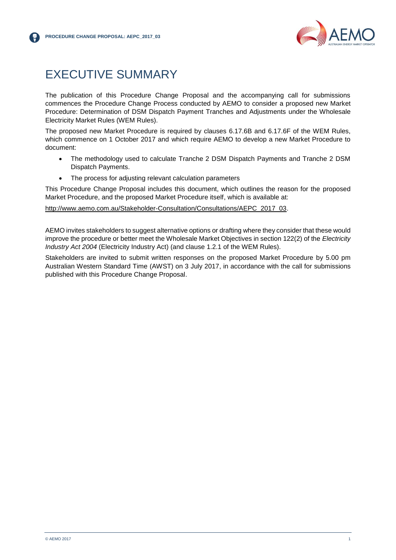

## <span id="page-2-0"></span>EXECUTIVE SUMMARY

The publication of this Procedure Change Proposal and the accompanying call for submissions commences the Procedure Change Process conducted by AEMO to consider a proposed new Market Procedure: Determination of DSM Dispatch Payment Tranches and Adjustments under the Wholesale Electricity Market Rules (WEM Rules).

The proposed new Market Procedure is required by clauses 6.17.6B and 6.17.6F of the WEM Rules, which commence on 1 October 2017 and which require AEMO to develop a new Market Procedure to document:

- The methodology used to calculate Tranche 2 DSM Dispatch Payments and Tranche 2 DSM Dispatch Payments.
- The process for adjusting relevant calculation parameters

This Procedure Change Proposal includes this document, which outlines the reason for the proposed Market Procedure, and the proposed Market Procedure itself, which is available at:

[http://www.aemo.com.au/Stakeholder-Consultation/Consultations/AEPC\\_2017\\_03.](http://www.aemo.com.au/Stakeholder-Consultation/Consultations/AEPC_2017_03)

AEMO invites stakeholders to suggest alternative options or drafting where they consider that these would improve the procedure or better meet the Wholesale Market Objectives in section 122(2) of the *Electricity Industry Act 2004* (Electricity Industry Act) (and clause 1.2.1 of the WEM Rules).

Stakeholders are invited to submit written responses on the proposed Market Procedure by 5.00 pm Australian Western Standard Time (AWST) on 3 July 2017, in accordance with the call for submissions published with this Procedure Change Proposal.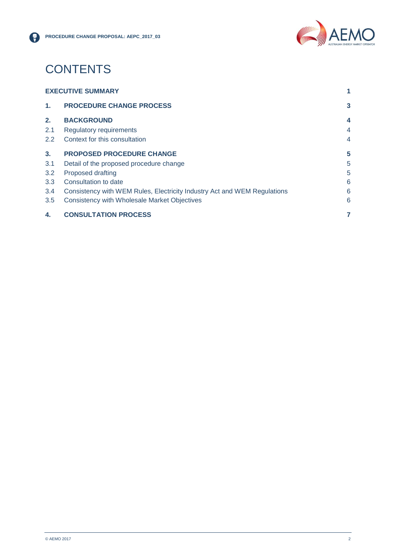

## **CONTENTS**

| 4.                       | <b>CONSULTATION PROCESS</b>                                              | 7 |
|--------------------------|--------------------------------------------------------------------------|---|
| 3.5                      | <b>Consistency with Wholesale Market Objectives</b>                      | 6 |
| 3.4                      | Consistency with WEM Rules, Electricity Industry Act and WEM Regulations | 6 |
| 3.3                      | Consultation to date                                                     | 6 |
| 3.2                      | <b>Proposed drafting</b>                                                 | 5 |
| 3.1                      | Detail of the proposed procedure change                                  | 5 |
| 3.                       | <b>PROPOSED PROCEDURE CHANGE</b>                                         | 5 |
| $2.2^{\circ}$            | Context for this consultation                                            | 4 |
| 2.1                      | <b>Regulatory requirements</b>                                           | 4 |
| 2.                       | <b>BACKGROUND</b>                                                        | 4 |
| $\mathbf{1}$ .           | <b>PROCEDURE CHANGE PROCESS</b>                                          | 3 |
| <b>EXECUTIVE SUMMARY</b> |                                                                          |   |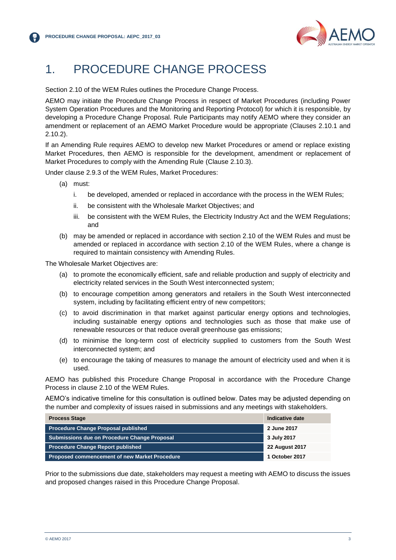

## <span id="page-4-0"></span>1. PROCEDURE CHANGE PROCESS

Section 2.10 of the WEM Rules outlines the Procedure Change Process.

AEMO may initiate the Procedure Change Process in respect of Market Procedures (including Power System Operation Procedures and the Monitoring and Reporting Protocol) for which it is responsible, by developing a Procedure Change Proposal. Rule Participants may notify AEMO where they consider an amendment or replacement of an AEMO Market Procedure would be appropriate (Clauses 2.10.1 and 2.10.2).

If an Amending Rule requires AEMO to develop new Market Procedures or amend or replace existing Market Procedures, then AEMO is responsible for the development, amendment or replacement of Market Procedures to comply with the Amending Rule (Clause 2.10.3).

Under clause 2.9.3 of the WEM Rules, Market Procedures:

- (a) must:
	- i. be developed, amended or replaced in accordance with the process in the WEM Rules;
	- ii. be consistent with the Wholesale Market Objectives; and
	- iii. be consistent with the WEM Rules, the Electricity Industry Act and the WEM Regulations; and
- (b) may be amended or replaced in accordance with section 2.10 of the WEM Rules and must be amended or replaced in accordance with section 2.10 of the WEM Rules, where a change is required to maintain consistency with Amending Rules.

The Wholesale Market Objectives are:

- (a) to promote the economically efficient, safe and reliable production and supply of electricity and electricity related services in the South West interconnected system;
- (b) to encourage competition among generators and retailers in the South West interconnected system, including by facilitating efficient entry of new competitors;
- (c) to avoid discrimination in that market against particular energy options and technologies, including sustainable energy options and technologies such as those that make use of renewable resources or that reduce overall greenhouse gas emissions;
- (d) to minimise the long-term cost of electricity supplied to customers from the South West interconnected system; and
- (e) to encourage the taking of measures to manage the amount of electricity used and when it is used.

AEMO has published this Procedure Change Proposal in accordance with the Procedure Change Process in clause 2.10 of the WEM Rules.

AEMO's indicative timeline for this consultation is outlined below. Dates may be adjusted depending on the number and complexity of issues raised in submissions and any meetings with stakeholders.

| <b>Process Stage</b>                                 | Indicative date       |
|------------------------------------------------------|-----------------------|
| <b>Procedure Change Proposal published</b>           | 2 June 2017           |
| Submissions due on Procedure Change Proposal         | 3 July 2017           |
| <b>Procedure Change Report published</b>             | <b>22 August 2017</b> |
| <b>Proposed commencement of new Market Procedure</b> | 1 October 2017        |

Prior to the submissions due date, stakeholders may request a meeting with AEMO to discuss the issues and proposed changes raised in this Procedure Change Proposal.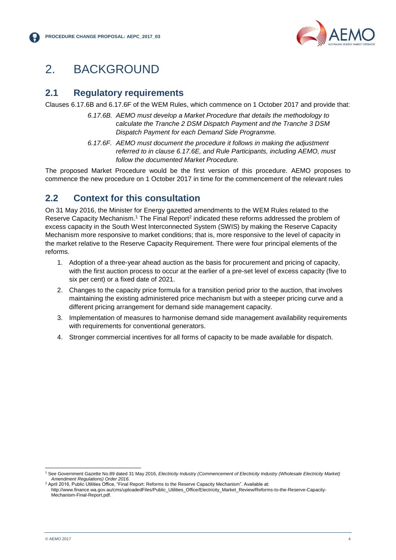

## <span id="page-5-0"></span>2. BACKGROUND

#### <span id="page-5-1"></span>**2.1 Regulatory requirements**

Clauses 6.17.6B and 6.17.6F of the WEM Rules, which commence on 1 October 2017 and provide that:

- *6.17.6B. AEMO must develop a Market Procedure that details the methodology to calculate the Tranche 2 DSM Dispatch Payment and the Tranche 3 DSM Dispatch Payment for each Demand Side Programme.*
- *6.17.6F. AEMO must document the procedure it follows in making the adjustment referred to in clause 6.17.6E, and Rule Participants, including AEMO, must follow the documented Market Procedure.*

The proposed Market Procedure would be the first version of this procedure. AEMO proposes to commence the new procedure on 1 October 2017 in time for the commencement of the relevant rules

#### <span id="page-5-2"></span>**2.2 Context for this consultation**

On 31 May 2016, the Minister for Energy gazetted amendments to the WEM Rules related to the Reserve Capacity Mechanism.<sup>1</sup> The Final Report<sup>2</sup> indicated these reforms addressed the problem of excess capacity in the South West Interconnected System (SWIS) by making the Reserve Capacity Mechanism more responsive to market conditions; that is, more responsive to the level of capacity in the market relative to the Reserve Capacity Requirement. There were four principal elements of the reforms.

- 1. Adoption of a three-year ahead auction as the basis for procurement and pricing of capacity, with the first auction process to occur at the earlier of a pre-set level of excess capacity (five to six per cent) or a fixed date of 2021.
- 2. Changes to the capacity price formula for a transition period prior to the auction, that involves maintaining the existing administered price mechanism but with a steeper pricing curve and a different pricing arrangement for demand side management capacity.
- 3. Implementation of measures to harmonise demand side management availability requirements with requirements for conventional generators.
- 4. Stronger commercial incentives for all forms of capacity to be made available for dispatch.

l

<sup>1</sup> See Government Gazette No.89 dated 31 May 2016, *Electricity Industry (Commencement of Electricity Industry (Wholesale Electricity Market) Amendment Regulations) Order 2016*.

April 2016, Public Utilities Office, "Final Report: Reforms to the Reserve Capacity Mechanism". Available at: http://www.finance.wa.gov.au/cms/uploadedFiles/Public\_Utilities\_Office/Electricity\_Market\_Review/Reforms-to-the-Reserve-Capacity-Mechanism-Final-Report.pdf.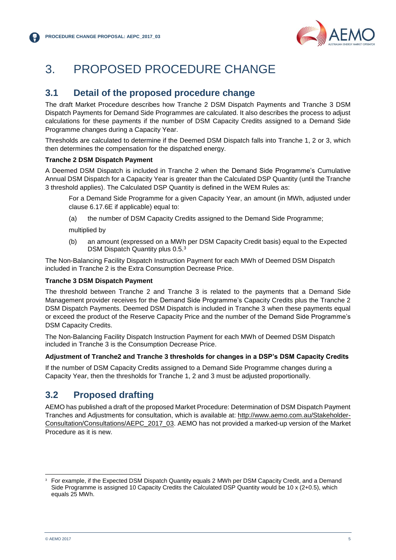

## <span id="page-6-0"></span>3. PROPOSED PROCEDURE CHANGE

#### <span id="page-6-1"></span>**3.1 Detail of the proposed procedure change**

<span id="page-6-2"></span>The draft Market Procedure describes how Tranche 2 DSM Dispatch Payments and Tranche 3 DSM Dispatch Payments for Demand Side Programmes are calculated. It also describes the process to adjust calculations for these payments if the number of DSM Capacity Credits assigned to a Demand Side Programme changes during a Capacity Year.

Thresholds are calculated to determine if the Deemed DSM Dispatch falls into Tranche 1, 2 or 3, which then determines the compensation for the dispatched energy.

#### **Tranche 2 DSM Dispatch Payment**

A Deemed DSM Dispatch is included in Tranche 2 when the Demand Side Programme's Cumulative Annual DSM Dispatch for a Capacity Year is greater than the Calculated DSP Quantity (until the Tranche 3 threshold applies). The Calculated DSP Quantity is defined in the WEM Rules as:

For a Demand Side Programme for a given Capacity Year, an amount (in MWh, adjusted under clause 6.17.6E if applicable) equal to:

(a) the number of DSM Capacity Credits assigned to the Demand Side Programme;

multiplied by

(b) an amount (expressed on a MWh per DSM Capacity Credit basis) equal to the Expected DSM Dispatch Quantity plus 0.5.<sup>3</sup>

The Non-Balancing Facility Dispatch Instruction Payment for each MWh of Deemed DSM Dispatch included in Tranche 2 is the Extra Consumption Decrease Price.

#### **Tranche 3 DSM Dispatch Payment**

The threshold between Tranche 2 and Tranche 3 is related to the payments that a Demand Side Management provider receives for the Demand Side Programme's Capacity Credits plus the Tranche 2 DSM Dispatch Payments. Deemed DSM Dispatch is included in Tranche 3 when these payments equal or exceed the product of the Reserve Capacity Price and the number of the Demand Side Programme's DSM Capacity Credits.

The Non-Balancing Facility Dispatch Instruction Payment for each MWh of Deemed DSM Dispatch included in Tranche 3 is the Consumption Decrease Price.

#### **Adjustment of Tranche2 and Tranche 3 thresholds for changes in a DSP's DSM Capacity Credits**

If the number of DSM Capacity Credits assigned to a Demand Side Programme changes during a Capacity Year, then the thresholds for Tranche 1, 2 and 3 must be adjusted proportionally.

### **3.2 Proposed drafting**

AEMO has published a draft of the proposed Market Procedure: Determination of DSM Dispatch Payment Tranches and Adjustments for consultation, which is available at: [http://www.aemo.com.au/Stakeholder-](http://www.aemo.com.au/Stakeholder-Consultation/Consultations/AEPC_2017_03)[Consultation/Consultations/AEPC\\_2017\\_03.](http://www.aemo.com.au/Stakeholder-Consultation/Consultations/AEPC_2017_03) AEMO has not provided a marked-up version of the Market Procedure as it is new.

l

<sup>3</sup> For example, if the Expected DSM Dispatch Quantity equals 2 MWh per DSM Capacity Credit, and a Demand Side Programme is assigned 10 Capacity Credits the Calculated DSP Quantity would be 10 x (2+0.5), which equals 25 MWh.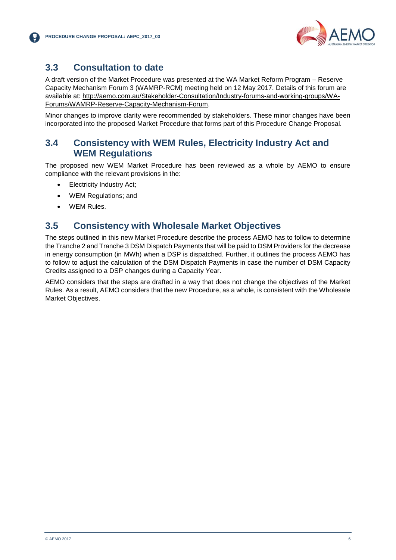

### <span id="page-7-0"></span>**3.3 Consultation to date**

A draft version of the Market Procedure was presented at the WA Market Reform Program – Reserve Capacity Mechanism Forum 3 (WAMRP-RCM) meeting held on 12 May 2017. Details of this forum are available at: [http://aemo.com.au/Stakeholder-Consultation/Industry-forums-and-working-groups/WA-](http://aemo.com.au/Stakeholder-Consultation/Industry-forums-and-working-groups/WA-Forums/WAMRP-Reserve-Capacity-Mechanism-Forum)[Forums/WAMRP-Reserve-Capacity-Mechanism-Forum.](http://aemo.com.au/Stakeholder-Consultation/Industry-forums-and-working-groups/WA-Forums/WAMRP-Reserve-Capacity-Mechanism-Forum)

Minor changes to improve clarity were recommended by stakeholders. These minor changes have been incorporated into the proposed Market Procedure that forms part of this Procedure Change Proposal.

#### <span id="page-7-1"></span>**3.4 Consistency with WEM Rules, Electricity Industry Act and WEM Regulations**

The proposed new WEM Market Procedure has been reviewed as a whole by AEMO to ensure compliance with the relevant provisions in the:

- Electricity Industry Act;
- WEM Regulations; and
- WEM Rules.

#### <span id="page-7-2"></span>**3.5 Consistency with Wholesale Market Objectives**

The steps outlined in this new Market Procedure describe the process AEMO has to follow to determine the Tranche 2 and Tranche 3 DSM Dispatch Payments that will be paid to DSM Providers for the decrease in energy consumption (in MWh) when a DSP is dispatched. Further, it outlines the process AEMO has to follow to adjust the calculation of the DSM Dispatch Payments in case the number of DSM Capacity Credits assigned to a DSP changes during a Capacity Year.

AEMO considers that the steps are drafted in a way that does not change the objectives of the Market Rules. As a result, AEMO considers that the new Procedure, as a whole, is consistent with the Wholesale Market Objectives.